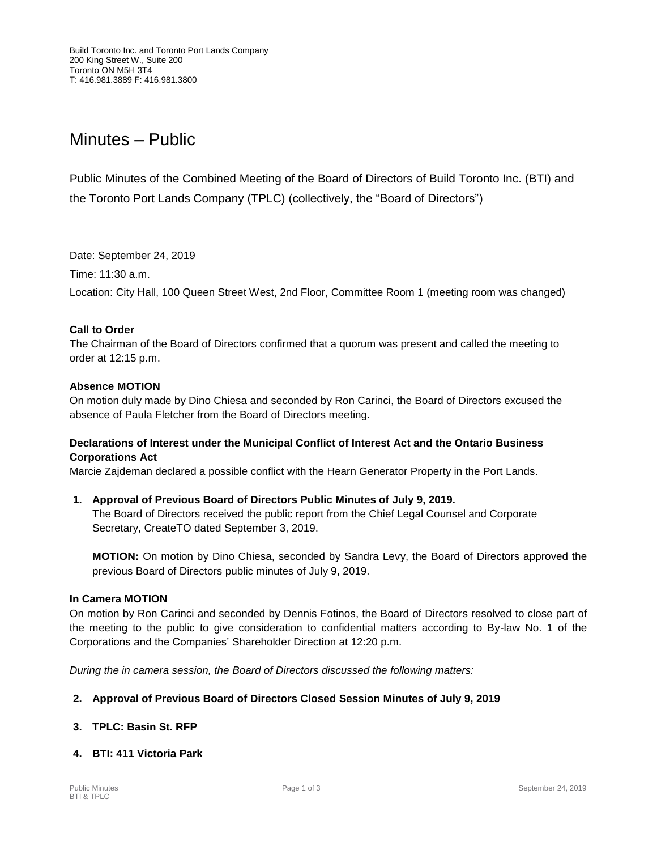# Minutes – Public

Public Minutes of the Combined Meeting of the Board of Directors of Build Toronto Inc. (BTI) and the Toronto Port Lands Company (TPLC) (collectively, the "Board of Directors")

Date: September 24, 2019

Time: 11:30 a.m.

Location: City Hall, 100 Queen Street West, 2nd Floor, Committee Room 1 (meeting room was changed)

#### **Call to Order**

The Chairman of the Board of Directors confirmed that a quorum was present and called the meeting to order at 12:15 p.m.

#### **Absence MOTION**

On motion duly made by Dino Chiesa and seconded by Ron Carinci, the Board of Directors excused the absence of Paula Fletcher from the Board of Directors meeting.

# **Declarations of Interest under the Municipal Conflict of Interest Act and the Ontario Business Corporations Act**

Marcie Zajdeman declared a possible conflict with the Hearn Generator Property in the Port Lands.

**1. Approval of Previous Board of Directors Public Minutes of July 9, 2019.** The Board of Directors received the public report from the Chief Legal Counsel and Corporate Secretary, CreateTO dated September 3, 2019.

**MOTION:** On motion by Dino Chiesa, seconded by Sandra Levy, the Board of Directors approved the previous Board of Directors public minutes of July 9, 2019.

#### **In Camera MOTION**

On motion by Ron Carinci and seconded by Dennis Fotinos, the Board of Directors resolved to close part of the meeting to the public to give consideration to confidential matters according to By-law No. 1 of the Corporations and the Companies' Shareholder Direction at 12:20 p.m.

*During the in camera session, the Board of Directors discussed the following matters:*

# **2. Approval of Previous Board of Directors Closed Session Minutes of July 9, 2019**

# **3. TPLC: Basin St. RFP**

# **4. BTI: 411 Victoria Park**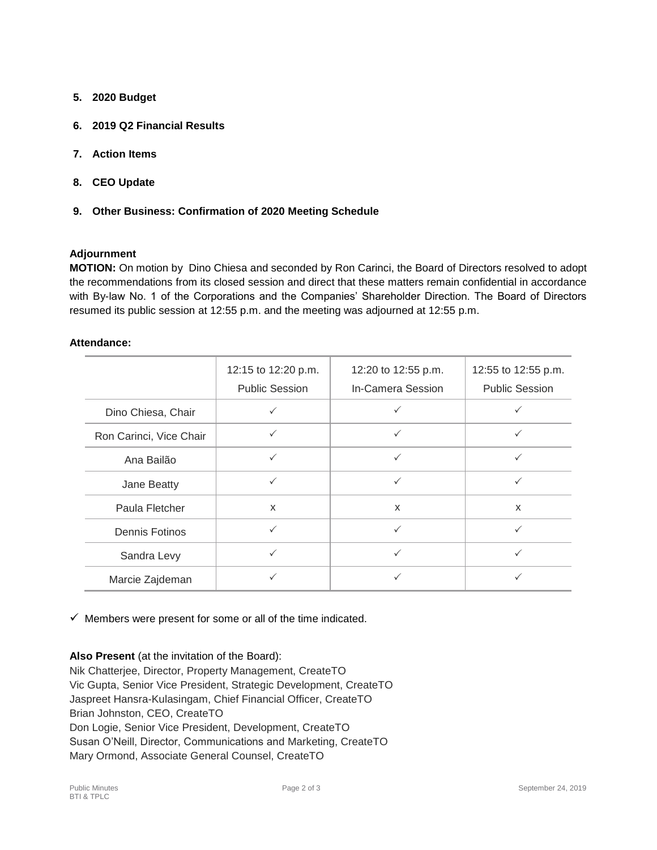- **5. 2020 Budget**
- **6. 2019 Q2 Financial Results**
- **7. Action Items**
- **8. CEO Update**
- **9. Other Business: Confirmation of 2020 Meeting Schedule**

#### **Adjournment**

**MOTION:** On motion by Dino Chiesa and seconded by Ron Carinci, the Board of Directors resolved to adopt the recommendations from its closed session and direct that these matters remain confidential in accordance with By-law No. 1 of the Corporations and the Companies' Shareholder Direction. The Board of Directors resumed its public session at 12:55 p.m. and the meeting was adjourned at 12:55 p.m.

#### **Attendance:**

|                         | 12:15 to 12:20 p.m.<br><b>Public Session</b> | 12:20 to 12:55 p.m.<br>In-Camera Session | 12:55 to 12:55 p.m.<br><b>Public Session</b> |
|-------------------------|----------------------------------------------|------------------------------------------|----------------------------------------------|
| Dino Chiesa, Chair      |                                              |                                          |                                              |
| Ron Carinci, Vice Chair | $\checkmark$                                 | $\checkmark$                             | ✓                                            |
| Ana Bailão              | $\checkmark$                                 | $\checkmark$                             | ✓                                            |
| Jane Beatty             | $\checkmark$                                 | $\checkmark$                             | $\checkmark$                                 |
| Paula Fletcher          | X                                            | $\mathsf{x}$                             | $\mathsf{x}$                                 |
| Dennis Fotinos          | $\checkmark$                                 | $\checkmark$                             | ✓                                            |
| Sandra Levy             | $\checkmark$                                 | ✓                                        | ✓                                            |
| Marcie Zajdeman         | $\checkmark$                                 | $\checkmark$                             |                                              |

 $\checkmark$  Members were present for some or all of the time indicated.

# **Also Present** (at the invitation of the Board):

Nik Chatterjee, Director, Property Management, CreateTO Vic Gupta, Senior Vice President, Strategic Development, CreateTO Jaspreet Hansra-Kulasingam, Chief Financial Officer, CreateTO Brian Johnston, CEO, CreateTO Don Logie, Senior Vice President, Development, CreateTO Susan O'Neill, Director, Communications and Marketing, CreateTO Mary Ormond, Associate General Counsel, CreateTO